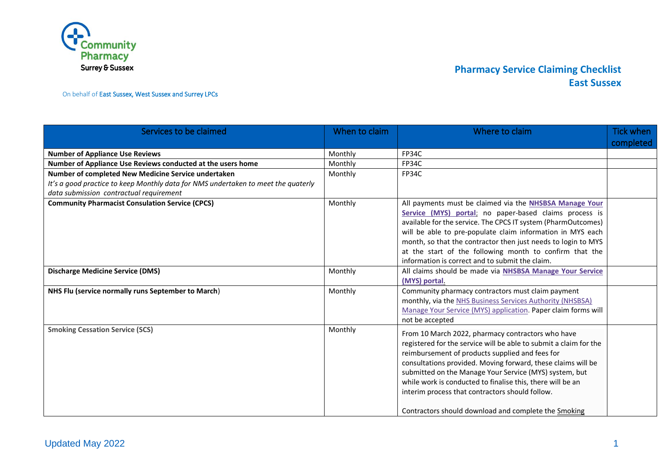

On behalf of East Sussex, West Sussex and Surrey LPCs

| Services to be claimed                                                                                                                                                              | When to claim | Where to claim                                                                                                                                                                                                                                                                                                                                                                                                                                                               | <b>Tick when</b><br>completed |
|-------------------------------------------------------------------------------------------------------------------------------------------------------------------------------------|---------------|------------------------------------------------------------------------------------------------------------------------------------------------------------------------------------------------------------------------------------------------------------------------------------------------------------------------------------------------------------------------------------------------------------------------------------------------------------------------------|-------------------------------|
| <b>Number of Appliance Use Reviews</b>                                                                                                                                              | Monthly       | <b>FP34C</b>                                                                                                                                                                                                                                                                                                                                                                                                                                                                 |                               |
| Number of Appliance Use Reviews conducted at the users home                                                                                                                         | Monthly       | FP34C                                                                                                                                                                                                                                                                                                                                                                                                                                                                        |                               |
| Number of completed New Medicine Service undertaken<br>It's a good practice to keep Monthly data for NMS undertaken to meet the quaterly<br>data submission contractual requirement | Monthly       | <b>FP34C</b>                                                                                                                                                                                                                                                                                                                                                                                                                                                                 |                               |
| <b>Community Pharmacist Consulation Service (CPCS)</b>                                                                                                                              | Monthly       | All payments must be claimed via the NHSBSA Manage Your<br>Service (MYS) portal; no paper-based claims process is<br>available for the service. The CPCS IT system (PharmOutcomes)<br>will be able to pre-populate claim information in MYS each<br>month, so that the contractor then just needs to login to MYS<br>at the start of the following month to confirm that the<br>information is correct and to submit the claim.                                              |                               |
| <b>Discharge Medicine Service (DMS)</b>                                                                                                                                             | Monthly       | All claims should be made via NHSBSA Manage Your Service<br>(MYS) portal.                                                                                                                                                                                                                                                                                                                                                                                                    |                               |
| NHS Flu (service normally runs September to March)                                                                                                                                  | Monthly       | Community pharmacy contractors must claim payment<br>monthly, via the NHS Business Services Authority (NHSBSA)<br>Manage Your Service (MYS) application. Paper claim forms will<br>not be accepted                                                                                                                                                                                                                                                                           |                               |
| <b>Smoking Cessation Service (SCS)</b>                                                                                                                                              | Monthly       | From 10 March 2022, pharmacy contractors who have<br>registered for the service will be able to submit a claim for the<br>reimbursement of products supplied and fees for<br>consultations provided. Moving forward, these claims will be<br>submitted on the Manage Your Service (MYS) system, but<br>while work is conducted to finalise this, there will be an<br>interim process that contractors should follow.<br>Contractors should download and complete the Smoking |                               |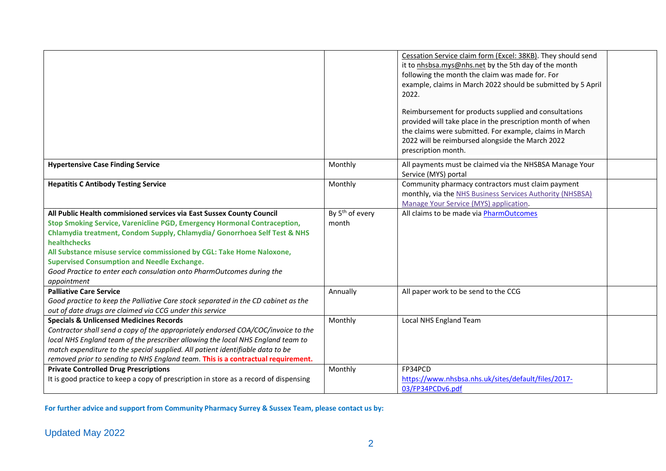|                                                                                                                                                                                                                                                                                                                                                                                                                                                                       |                                      | Cessation Service claim form (Excel: 38KB). They should send<br>it to nhsbsa.mys@nhs.net by the 5th day of the month<br>following the month the claim was made for. For<br>example, claims in March 2022 should be submitted by 5 April<br>2022.<br>Reimbursement for products supplied and consultations<br>provided will take place in the prescription month of when<br>the claims were submitted. For example, claims in March<br>2022 will be reimbursed alongside the March 2022<br>prescription month. |  |
|-----------------------------------------------------------------------------------------------------------------------------------------------------------------------------------------------------------------------------------------------------------------------------------------------------------------------------------------------------------------------------------------------------------------------------------------------------------------------|--------------------------------------|---------------------------------------------------------------------------------------------------------------------------------------------------------------------------------------------------------------------------------------------------------------------------------------------------------------------------------------------------------------------------------------------------------------------------------------------------------------------------------------------------------------|--|
| <b>Hypertensive Case Finding Service</b>                                                                                                                                                                                                                                                                                                                                                                                                                              | Monthly                              | All payments must be claimed via the NHSBSA Manage Your<br>Service (MYS) portal                                                                                                                                                                                                                                                                                                                                                                                                                               |  |
| <b>Hepatitis C Antibody Testing Service</b>                                                                                                                                                                                                                                                                                                                                                                                                                           | Monthly                              | Community pharmacy contractors must claim payment<br>monthly, via the NHS Business Services Authority (NHSBSA)<br>Manage Your Service (MYS) application.                                                                                                                                                                                                                                                                                                                                                      |  |
| All Public Health commisioned services via East Sussex County Council<br>Stop Smoking Service, Varenicline PGD, Emergency Hormonal Contraception,<br>Chlamydia treatment, Condom Supply, Chlamydia/ Gonorrhoea Self Test & NHS<br>healthchecks<br>All Substance misuse service commissioned by CGL: Take Home Naloxone,<br><b>Supervised Consumption and Needle Exchange.</b><br>Good Practice to enter each consulation onto PharmOutcomes during the<br>appointment | By 5 <sup>th</sup> of every<br>month | All claims to be made via PharmOutcomes                                                                                                                                                                                                                                                                                                                                                                                                                                                                       |  |
| <b>Palliative Care Service</b><br>Good practice to keep the Palliative Care stock separated in the CD cabinet as the<br>out of date drugs are claimed via CCG under this service                                                                                                                                                                                                                                                                                      | Annually                             | All paper work to be send to the CCG                                                                                                                                                                                                                                                                                                                                                                                                                                                                          |  |
| <b>Specials &amp; Unlicensed Medicines Records</b><br>Contractor shall send a copy of the appropriately endorsed COA/COC/invoice to the<br>local NHS England team of the prescriber allowing the local NHS England team to<br>match expenditure to the special supplied. All patient identifiable data to be<br>removed prior to sending to NHS England team. This is a contractual requirement.                                                                      | Monthly                              | Local NHS England Team                                                                                                                                                                                                                                                                                                                                                                                                                                                                                        |  |
| <b>Private Controlled Drug Prescriptions</b><br>It is good practice to keep a copy of prescription in store as a record of dispensing                                                                                                                                                                                                                                                                                                                                 | Monthly                              | FP34PCD<br>https://www.nhsbsa.nhs.uk/sites/default/files/2017-<br>03/FP34PCDv6.pdf                                                                                                                                                                                                                                                                                                                                                                                                                            |  |

**For further advice and support from Community Pharmacy Surrey & Sussex Team, please contact us by:**